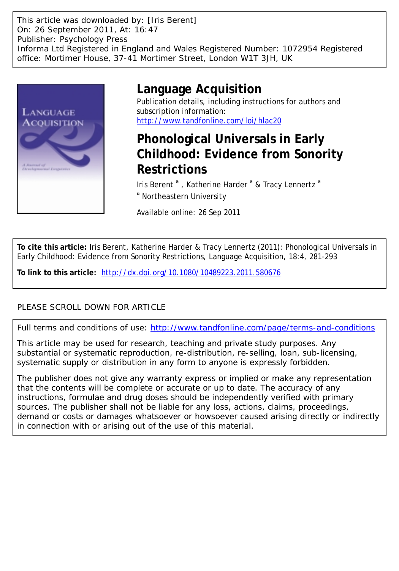This article was downloaded by: [Iris Berent] On: 26 September 2011, At: 16:47 Publisher: Psychology Press Informa Ltd Registered in England and Wales Registered Number: 1072954 Registered office: Mortimer House, 37-41 Mortimer Street, London W1T 3JH, UK



# **Language Acquisition**

Publication details, including instructions for authors and subscription information: <http://www.tandfonline.com/loi/hlac20>

# **Phonological Universals in Early Childhood: Evidence from Sonority Restrictions**

Iris Berent<sup>a</sup>, Katherine Harder<sup>a</sup> & Tracy Lennertz<sup>a</sup> <sup>a</sup> Northeastern University

Available online: 26 Sep 2011

**To cite this article:** Iris Berent, Katherine Harder & Tracy Lennertz (2011): Phonological Universals in Early Childhood: Evidence from Sonority Restrictions, Language Acquisition, 18:4, 281-293

**To link to this article:** <http://dx.doi.org/10.1080/10489223.2011.580676>

# PLEASE SCROLL DOWN FOR ARTICLE

Full terms and conditions of use:<http://www.tandfonline.com/page/terms-and-conditions>

This article may be used for research, teaching and private study purposes. Any substantial or systematic reproduction, re-distribution, re-selling, loan, sub-licensing, systematic supply or distribution in any form to anyone is expressly forbidden.

The publisher does not give any warranty express or implied or make any representation that the contents will be complete or accurate or up to date. The accuracy of any instructions, formulae and drug doses should be independently verified with primary sources. The publisher shall not be liable for any loss, actions, claims, proceedings, demand or costs or damages whatsoever or howsoever caused arising directly or indirectly in connection with or arising out of the use of this material.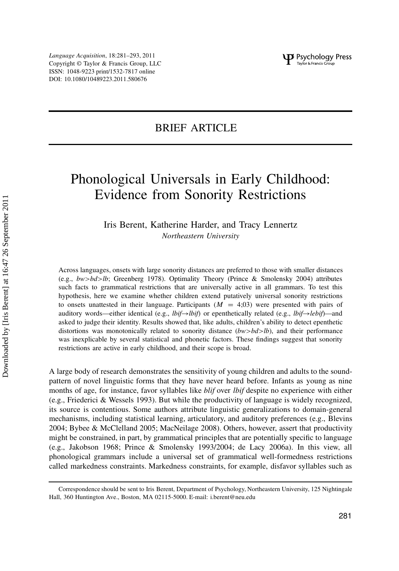# BRIEF ARTICLE

# Phonological Universals in Early Childhood: Evidence from Sonority Restrictions

Iris Berent, Katherine Harder, and Tracy Lennertz Northeastern University

Across languages, onsets with large sonority distances are preferred to those with smaller distances (e.g., bw>bd>lb; Greenberg 1978). Optimality Theory (Prince & Smolensky 2004) attributes such facts to grammatical restrictions that are universally active in all grammars. To test this hypothesis, here we examine whether children extend putatively universal sonority restrictions to onsets unattested in their language. Participants  $(M = 4;03)$  were presented with pairs of auditory words—either identical (e.g., *lbif* $\rightarrow$ *lbif*) or epenthetically related (e.g., *lbif* $\rightarrow$ *lebif*)—and asked to judge their identity. Results showed that, like adults, children's ability to detect epenthetic distortions was monotonically related to sonority distance  $(bw>b d>b l b)$ , and their performance was inexplicable by several statistical and phonetic factors. These findings suggest that sonority restrictions are active in early childhood, and their scope is broad.

A large body of research demonstrates the sensitivity of young children and adults to the soundpattern of novel linguistic forms that they have never heard before. Infants as young as nine months of age, for instance, favor syllables like *blif* over *lbif* despite no experience with either (e.g., Friederici & Wessels 1993). But while the productivity of language is widely recognized, its source is contentious. Some authors attribute linguistic generalizations to domain-general mechanisms, including statistical learning, articulatory, and auditory preferences (e.g., Blevins 2004; Bybee & McClelland 2005; MacNeilage 2008). Others, however, assert that productivity might be constrained, in part, by grammatical principles that are potentially specific to language (e.g., Jakobson 1968; Prince & Smolensky 1993/2004; de Lacy 2006a). In this view, all phonological grammars include a universal set of grammatical well-formedness restrictions called markedness constraints. Markedness constraints, for example, disfavor syllables such as

Correspondence should be sent to Iris Berent, Department of Psychology, Northeastern University, 125 Nightingale Hall, 360 Huntington Ave., Boston, MA 02115-5000. E-mail: i.berent@neu.edu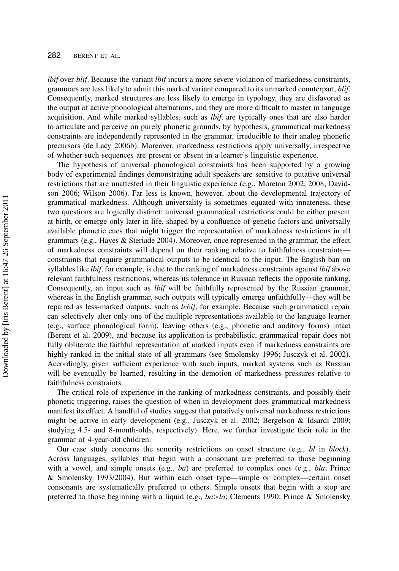lbif over blif. Because the variant lbif incurs a more severe violation of markedness constraints, grammars are less likely to admit this marked variant compared to its unmarked counterpart, blif. Consequently, marked structures are less likely to emerge in typology, they are disfavored as the output of active phonological alternations, and they are more difficult to master in language acquisition. And while marked syllables, such as *lbif*, are typically ones that are also harder to articulate and perceive on purely phonetic grounds, by hypothesis, grammatical markedness constraints are independently represented in the grammar, irreducible to their analog phonetic precursors (de Lacy 2006b). Moreover, markedness restrictions apply universally, irrespective of whether such sequences are present or absent in a learner's linguistic experience.

The hypothesis of universal phonological constraints has been supported by a growing body of experimental findings demonstrating adult speakers are sensitive to putative universal restrictions that are unattested in their linguistic experience (e.g., Moreton 2002, 2008; Davidson 2006; Wilson 2006). Far less is known, however, about the developmental trajectory of grammatical markedness. Although universality is sometimes equated with innateness, these two questions are logically distinct: universal grammatical restrictions could be either present at birth, or emerge only later in life, shaped by a confluence of genetic factors and universally available phonetic cues that might trigger the representation of markedness restrictions in all grammars (e.g., Hayes & Steriade 2004). Moreover, once represented in the grammar, the effect of markedness constraints will depend on their ranking relative to faithfulness constraints constraints that require grammatical outputs to be identical to the input. The English ban on syllables like *lbif*, for example, is due to the ranking of markedness constraints against *lbif* above relevant faithfulness restrictions, whereas its tolerance in Russian reflects the opposite ranking. Consequently, an input such as lbif will be faithfully represented by the Russian grammar, whereas in the English grammar, such outputs will typically emerge unfaithfully—they will be repaired as less-marked outputs, such as lebif, for example. Because such grammatical repair can selectively alter only one of the multiple representations available to the language learner (e.g., surface phonological form), leaving others (e.g., phonetic and auditory forms) intact (Berent et al. 2009), and because its application is probabilistic, grammatical repair does not fully obliterate the faithful representation of marked inputs even if markedness constraints are highly ranked in the initial state of all grammars (see Smolensky 1996; Jusczyk et al. 2002). Accordingly, given sufficient experience with such inputs, marked systems such as Russian will be eventually be learned, resulting in the demotion of markedness pressures relative to faithfulness constraints.

The critical role of experience in the ranking of markedness constraints, and possibly their phonetic triggering, raises the question of when in development does grammatical markedness manifest its effect. A handful of studies suggest that putatively universal markedness restrictions might be active in early development (e.g., Jusczyk et al. 2002; Bergelson & Idsardi 2009; studying 4.5- and 8-month-olds, respectively). Here, we further investigate their role in the grammar of 4-year-old children.

Our case study concerns the sonority restrictions on onset structure (e.g.,  $bl$  in block). Across languages, syllables that begin with a consonant are preferred to those beginning with a vowel, and simple onsets  $(e.g., ba)$  are preferred to complex ones  $(e.g., bla; P^2)$ & Smolensky 1993/2004). But within each onset type—simple or complex—certain onset consonants are systematically preferred to others. Simple onsets that begin with a stop are preferred to those beginning with a liquid (e.g.,  $ba > la$ ; Clements 1990; Prince & Smolensky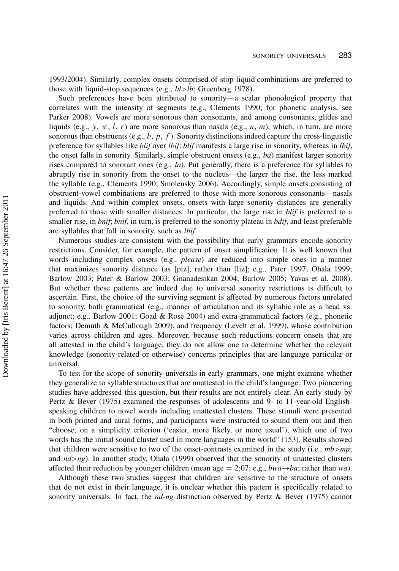1993/2004). Similarly, complex onsets comprised of stop-liquid combinations are preferred to those with liquid-stop sequences (e.g.,  $bl>lb$ ; Greenberg 1978).

Such preferences have been attributed to sonority—a scalar phonological property that correlates with the intensity of segments (e.g., Clements 1990; for phonetic analysis, see Parker 2008). Vowels are more sonorous than consonants, and among consonants, glides and liquids (e.g., y, w, l, r) are more sonorous than nasals (e.g., n, m), which, in turn, are more sonorous than obstruents (e.g., b,  $p$ ,  $f$ ). Sonority distinctions indeed capture the cross-linguistic preference for syllables like *blif* over *lbif: blif* manifests a large rise in sonority, whereas in *lbif*, the onset falls in sonority. Similarly, simple obstruent onsets  $(e.g., ba)$  manifest larger sonority rises compared to sonorant ones (e.g.,  $la$ ). Put generally, there is a preference for syllables to abruptly rise in sonority from the onset to the nucleus—the larger the rise, the less marked the syllable (e.g., Clements 1990; Smolensky 2006). Accordingly, simple onsets consisting of obstruent-vowel combinations are preferred to those with more sonorous consonants—nasals and liquids. And within complex onsets, onsets with large sonority distances are generally preferred to those with smaller distances. In particular, the large rise in *blif* is preferred to a smaller rise, in *bnif*; *bnif*, in turn, is preferred to the sonority plateau in *bdif*, and least preferable are syllables that fall in sonority, such as lbif.

Numerous studies are consistent with the possibility that early grammars encode sonority restrictions. Consider, for example, the pattern of onset simplification. It is well known that words including complex onsets (e.g., *please*) are reduced into simple ones in a manner that maximizes sonority distance (as [piz], rather than [liz]; e.g., Pater 1997; Ohala 1999; Barlow 2003; Pater & Barlow 2003; Gnanadesikan 2004; Barlow 2005; Yavas et al. 2008). But whether these patterns are indeed due to universal sonority restrictions is difficult to ascertain. First, the choice of the surviving segment is affected by numerous factors unrelated to sonority, both grammatical (e.g., manner of articulation and its syllabic role as a head vs. adjunct; e.g., Barlow 2001; Goad & Rose 2004) and extra-grammatical factors (e.g., phonetic factors; Demuth & McCullough 2009), and frequency (Levelt et al. 1999), whose contribution varies across children and ages. Moreover, because such reductions concern onsets that are all attested in the child's language, they do not allow one to determine whether the relevant knowledge (sonority-related or otherwise) concerns principles that are language particular or universal.

To test for the scope of sonority-universals in early grammars, one might examine whether they generalize to syllable structures that are unattested in the child's language. Two pioneering studies have addressed this question, but their results are not entirely clear. An early study by Pertz & Bever (1975) examined the responses of adolescents and 9- to 11-year-old Englishspeaking children to novel words including unattested clusters. These stimuli were presented in both printed and aural forms, and participants were instructed to sound them out and then "choose, on a simplicity criterion ('easier, more likely, or more usual'), which one of two words has the initial sound cluster used in more languages in the world" (153). Results showed that children were sensitive to two of the onset-contrasts examined in the study (i.e.,  $mb>mp$ ; and  $nd>ng$ ). In another study, Ohala (1999) observed that the sonority of unattested clusters affected their reduction by younger children (mean age = 2;07; e.g., bwa $\rightarrow$ ba; rather than wa).

Although these two studies suggest that children are sensitive to the structure of onsets that do not exist in their language, it is unclear whether this pattern is specifically related to sonority universals. In fact, the  $nd$ -ng distinction observed by Pertz & Bever (1975) cannot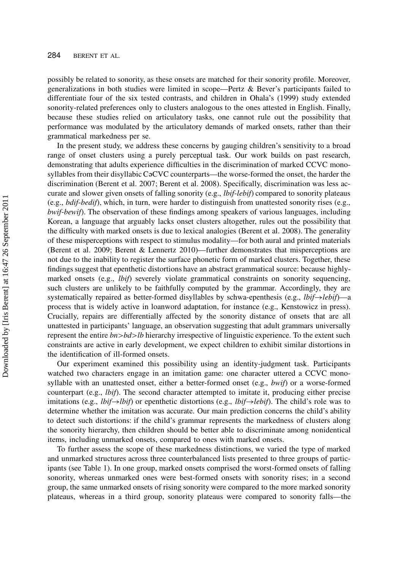possibly be related to sonority, as these onsets are matched for their sonority profile. Moreover, generalizations in both studies were limited in scope—Pertz & Bever's participants failed to differentiate four of the six tested contrasts, and children in Ohala's (1999) study extended sonority-related preferences only to clusters analogous to the ones attested in English. Finally, because these studies relied on articulatory tasks, one cannot rule out the possibility that performance was modulated by the articulatory demands of marked onsets, rather than their grammatical markedness per se.

In the present study, we address these concerns by gauging children's sensitivity to a broad range of onset clusters using a purely perceptual task. Our work builds on past research, demonstrating that adults experience difficulties in the discrimination of marked CCVC monosyllables from their disyllabic CəCVC counterparts—the worse-formed the onset, the harder the discrimination (Berent et al. 2007; Berent et al. 2008). Specifically, discrimination was less accurate and slower given onsets of falling sonority (e.g., *lbif-lebif*) compared to sonority plateaus (e.g., bdif-bedif), which, in turn, were harder to distinguish from unattested sonority rises (e.g., bwif-bewif). The observation of these findings among speakers of various languages, including Korean, a language that arguably lacks onset clusters altogether, rules out the possibility that the difficulty with marked onsets is due to lexical analogies (Berent et al. 2008). The generality of these misperceptions with respect to stimulus modality—for both aural and printed materials (Berent et al. 2009; Berent & Lennertz 2010)—further demonstrates that misperceptions are not due to the inability to register the surface phonetic form of marked clusters. Together, these findings suggest that epenthetic distortions have an abstract grammatical source: because highlymarked onsets (e.g., *lbif)* severely violate grammatical constraints on sonority sequencing, such clusters are unlikely to be faithfully computed by the grammar. Accordingly, they are systematically repaired as better-formed disyllables by schwa-epenthesis (e.g.,  $libi\rightarrow lebit$ )—a process that is widely active in loanword adaptation, for instance (e.g., Kenstowicz in press). Crucially, repairs are differentially affected by the sonority distance of onsets that are all unattested in participants' language, an observation suggesting that adult grammars universally represent the entire  $bn$ >ld>lb hierarchy irrespective of linguistic experience. To the extent such constraints are active in early development, we expect children to exhibit similar distortions in the identification of ill-formed onsets.

Our experiment examined this possibility using an identity-judgment task. Participants watched two characters engage in an imitation game: one character uttered a CCVC monosyllable with an unattested onset, either a better-formed onset (e.g., bwif) or a worse-formed counterpart (e.g., lbif). The second character attempted to imitate it, producing either precise imitations (e.g., *lbif* $\rightarrow$ *lbif*) or epenthetic distortions (e.g., *lbif* $\rightarrow$ *lebif*). The child's role was to determine whether the imitation was accurate. Our main prediction concerns the child's ability to detect such distortions: if the child's grammar represents the markedness of clusters along the sonority hierarchy, then children should be better able to discriminate among nonidentical items, including unmarked onsets, compared to ones with marked onsets.

To further assess the scope of these markedness distinctions, we varied the type of marked and unmarked structures across three counterbalanced lists presented to three groups of participants (see Table 1). In one group, marked onsets comprised the worst-formed onsets of falling sonority, whereas unmarked ones were best-formed onsets with sonority rises; in a second group, the same unmarked onsets of rising sonority were compared to the more marked sonority plateaus, whereas in a third group, sonority plateaus were compared to sonority falls—the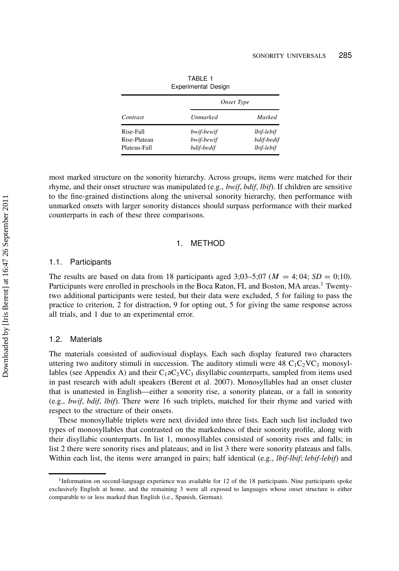|                                           | LADUITIU IIII DUSIUI                   |                                        |  |  |
|-------------------------------------------|----------------------------------------|----------------------------------------|--|--|
|                                           | Onset Type                             |                                        |  |  |
| Contrast                                  | Unmarked                               | Marked                                 |  |  |
| Rise-Fall<br>Rise-Plateau<br>Plateau-Fall | bwif-bewif<br>bwif-bewif<br>bdif-bedif | lbif-lebif<br>bdif-bedif<br>lbif-lebif |  |  |

TABLE 1 Experimental Design

most marked structure on the sonority hierarchy. Across groups, items were matched for their rhyme, and their onset structure was manipulated (e.g., bwif, bdif, lbif). If children are sensitive to the fine-grained distinctions along the universal sonority hierarchy, then performance with unmarked onsets with larger sonority distances should surpass performance with their marked counterparts in each of these three comparisons.

### 1. METHOD

#### 1.1. Participants

The results are based on data from 18 participants aged 3;03-5;07 ( $M = 4$ ; 04; SD = 0;10). Participants were enrolled in preschools in the Boca Raton, FL and Boston, MA areas.<sup>1</sup> Twentytwo additional participants were tested, but their data were excluded, 5 for failing to pass the practice to criterion, 2 for distraction, 9 for opting out, 5 for giving the same response across all trials, and 1 due to an experimental error.

### 1.2. Materials

The materials consisted of audiovisual displays. Each such display featured two characters uttering two auditory stimuli in succession. The auditory stimuli were 48  $C_1C_2VC_3$  monosyllables (see Appendix A) and their  $C_1 \circ C_2 \vee C_3$  disyllabic counterparts, sampled from items used in past research with adult speakers (Berent et al. 2007). Monosyllables had an onset cluster that is unattested in English—either a sonority rise, a sonority plateau, or a fall in sonority (e.g., bwif, bdif, lbif). There were 16 such triplets, matched for their rhyme and varied with respect to the structure of their onsets.

These monosyllable triplets were next divided into three lists. Each such list included two types of monosyllables that contrasted on the markedness of their sonority profile, along with their disyllabic counterparts. In list 1, monosyllables consisted of sonority rises and falls; in list 2 there were sonority rises and plateaus; and in list 3 there were sonority plateaus and falls. Within each list, the items were arranged in pairs; half identical (e.g., *lbif-lbif; lebif-lebif*) and

<sup>&</sup>lt;sup>1</sup>Information on second-language experience was available for 12 of the 18 participants. Nine participants spoke exclusively English at home, and the remaining 3 were all exposed to languages whose onset structure is either comparable to or less marked than English (i.e., Spanish, German).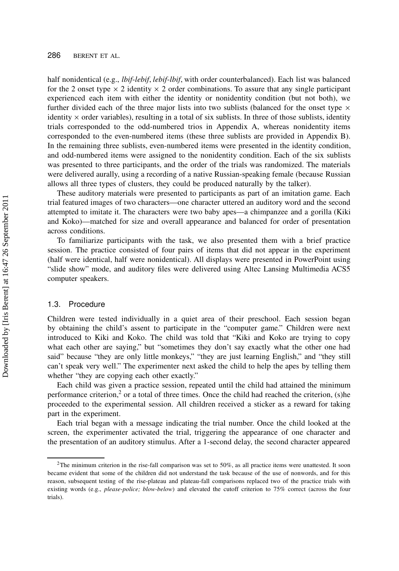half nonidentical (e.g., *lbif-lebif, lebif-lbif*, with order counterbalanced). Each list was balanced for the 2 onset type  $\times$  2 identity  $\times$  2 order combinations. To assure that any single participant experienced each item with either the identity or nonidentity condition (but not both), we further divided each of the three major lists into two sublists (balanced for the onset type  $\times$ identity  $\times$  order variables), resulting in a total of six sublists. In three of those sublists, identity trials corresponded to the odd-numbered trios in Appendix A, whereas nonidentity items corresponded to the even-numbered items (these three sublists are provided in Appendix B). In the remaining three sublists, even-numbered items were presented in the identity condition, and odd-numbered items were assigned to the nonidentity condition. Each of the six sublists was presented to three participants, and the order of the trials was randomized. The materials were delivered aurally, using a recording of a native Russian-speaking female (because Russian allows all three types of clusters, they could be produced naturally by the talker).

These auditory materials were presented to participants as part of an imitation game. Each trial featured images of two characters—one character uttered an auditory word and the second attempted to imitate it. The characters were two baby apes—a chimpanzee and a gorilla (Kiki and Koko)—matched for size and overall appearance and balanced for order of presentation across conditions.

To familiarize participants with the task, we also presented them with a brief practice session. The practice consisted of four pairs of items that did not appear in the experiment (half were identical, half were nonidentical). All displays were presented in PowerPoint using "slide show" mode, and auditory files were delivered using Altec Lansing Multimedia ACS5 computer speakers.

### 1.3. Procedure

Children were tested individually in a quiet area of their preschool. Each session began by obtaining the child's assent to participate in the "computer game." Children were next introduced to Kiki and Koko. The child was told that "Kiki and Koko are trying to copy what each other are saying," but "sometimes they don't say exactly what the other one had said" because "they are only little monkeys," "they are just learning English," and "they still can't speak very well." The experimenter next asked the child to help the apes by telling them whether "they are copying each other exactly."

Each child was given a practice session, repeated until the child had attained the minimum performance criterion,<sup>2</sup> or a total of three times. Once the child had reached the criterion, (s)he proceeded to the experimental session. All children received a sticker as a reward for taking part in the experiment.

Each trial began with a message indicating the trial number. Once the child looked at the screen, the experimenter activated the trial, triggering the appearance of one character and the presentation of an auditory stimulus. After a 1-second delay, the second character appeared

<sup>&</sup>lt;sup>2</sup>The minimum criterion in the rise-fall comparison was set to 50%, as all practice items were unattested. It soon became evident that some of the children did not understand the task because of the use of nonwords, and for this reason, subsequent testing of the rise-plateau and plateau-fall comparisons replaced two of the practice trials with existing words (e.g., *please-police; blow-below*) and elevated the cutoff criterion to 75% correct (across the four trials).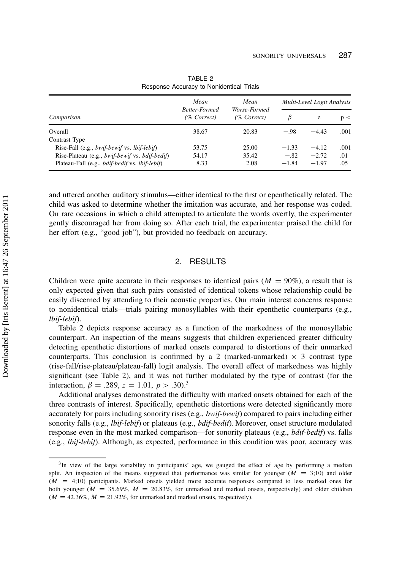| Mean        | Mean                 | Multi-Level Logit Analysis |         |      |
|-------------|----------------------|----------------------------|---------|------|
| (% Correct) | (% Correct)          | В                          | z       | p <  |
| 38.67       | 20.83                | $-.98$                     | $-4.43$ | .001 |
|             |                      |                            |         |      |
| 53.75       | 25.00                | $-1.33$                    | $-4.12$ | .001 |
| 54.17       | 35.42                | $-.82$                     | $-2.72$ | .01  |
| 8.33        | 2.08                 | $-1.84$                    | $-1.97$ | .05  |
|             | <b>Better-Formed</b> | Worse-Formed               |         |      |

TABLE 2 Response Accuracy to Nonidentical Trials

and uttered another auditory stimulus—either identical to the first or epenthetically related. The child was asked to determine whether the imitation was accurate, and her response was coded. On rare occasions in which a child attempted to articulate the words overtly, the experimenter gently discouraged her from doing so. After each trial, the experimenter praised the child for her effort (e.g., "good job"), but provided no feedback on accuracy.

# 2. RESULTS

Children were quite accurate in their responses to identical pairs ( $M = 90\%$ ), a result that is only expected given that such pairs consisted of identical tokens whose relationship could be easily discerned by attending to their acoustic properties. Our main interest concerns response to nonidentical trials—trials pairing monosyllables with their epenthetic counterparts (e.g., lbif-lebif).

Table 2 depicts response accuracy as a function of the markedness of the monosyllabic counterpart. An inspection of the means suggests that children experienced greater difficulty detecting epenthetic distortions of marked onsets compared to distortions of their unmarked counterparts. This conclusion is confirmed by a 2 (marked-unmarked)  $\times$  3 contrast type (rise-fall/rise-plateau/plateau-fall) logit analysis. The overall effect of markedness was highly significant (see Table 2), and it was not further modulated by the type of contrast (for the interaction,  $\beta = .289$ ,  $z = 1.01$ ,  $p > .30$ .<sup>3</sup>

Additional analyses demonstrated the difficulty with marked onsets obtained for each of the three contrasts of interest. Specifically, epenthetic distortions were detected significantly more accurately for pairs including sonority rises (e.g., bwif-bewif) compared to pairs including either sonority falls (e.g., *lbif-lebif*) or plateaus (e.g., *bdif-bedif*). Moreover, onset structure modulated response even in the most marked comparison-for sonority plateaus (e.g., bdif-bedif) vs. falls (e.g., lbif-lebif). Although, as expected, performance in this condition was poor, accuracy was

<sup>&</sup>lt;sup>3</sup>In view of the large variability in participants' age, we gauged the effect of age by performing a median split. An inspection of the means suggested that performance was similar for younger ( $M = 3;10$ ) and older  $(M = 4;10)$  participants. Marked onsets yielded more accurate responses compared to less marked ones for both younger ( $M = 35.69\%$ ,  $M = 20.83\%$ , for unmarked and marked onsets, respectively) and older children  $(M = 42.36\%, M = 21.92\%,$  for unmarked and marked onsets, respectively).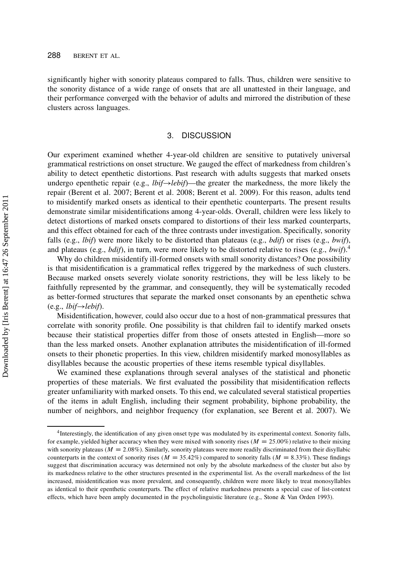significantly higher with sonority plateaus compared to falls. Thus, children were sensitive to the sonority distance of a wide range of onsets that are all unattested in their language, and their performance converged with the behavior of adults and mirrored the distribution of these clusters across languages.

### 3. DISCUSSION

Our experiment examined whether 4-year-old children are sensitive to putatively universal grammatical restrictions on onset structure. We gauged the effect of markedness from children's ability to detect epenthetic distortions. Past research with adults suggests that marked onsets undergo epenthetic repair (e.g.,  $lbit\rightarrow$ lebif)—the greater the markedness, the more likely the repair (Berent et al. 2007; Berent et al. 2008; Berent et al. 2009). For this reason, adults tend to misidentify marked onsets as identical to their epenthetic counterparts. The present results demonstrate similar misidentifications among 4-year-olds. Overall, children were less likely to detect distortions of marked onsets compared to distortions of their less marked counterparts, and this effect obtained for each of the three contrasts under investigation. Specifically, sonority falls (e.g., *lbif)* were more likely to be distorted than plateaus (e.g., *bdif)* or rises (e.g., *bwif)*, and plateaus (e.g., *bdif*), in turn, were more likely to be distorted relative to rises (e.g., *bwif*).<sup>4</sup>

Why do children misidentify ill-formed onsets with small sonority distances? One possibility is that misidentification is a grammatical reflex triggered by the markedness of such clusters. Because marked onsets severely violate sonority restrictions, they will be less likely to be faithfully represented by the grammar, and consequently, they will be systematically recoded as better-formed structures that separate the marked onset consonants by an epenthetic schwa  $(e.g., Ibif \rightarrow lebif).$ 

Misidentification, however, could also occur due to a host of non-grammatical pressures that correlate with sonority profile. One possibility is that children fail to identify marked onsets because their statistical properties differ from those of onsets attested in English—more so than the less marked onsets. Another explanation attributes the misidentification of ill-formed onsets to their phonetic properties. In this view, children misidentify marked monosyllables as disyllables because the acoustic properties of these items resemble typical disyllables.

We examined these explanations through several analyses of the statistical and phonetic properties of these materials. We first evaluated the possibility that misidentification reflects greater unfamiliarity with marked onsets. To this end, we calculated several statistical properties of the items in adult English, including their segment probability, biphone probability, the number of neighbors, and neighbor frequency (for explanation, see Berent et al. 2007). We

<sup>&</sup>lt;sup>4</sup>Interestingly, the identification of any given onset type was modulated by its experimental context. Sonority falls, for example, yielded higher accuracy when they were mixed with sonority rises ( $M = 25.00\%$ ) relative to their mixing with sonority plateaus ( $M = 2.08\%$ ). Similarly, sonority plateaus were more readily discriminated from their disyllabic counterparts in the context of sonority rises ( $M = 35.42\%$ ) compared to sonority falls ( $M = 8.33\%$ ). These findings suggest that discrimination accuracy was determined not only by the absolute markedness of the cluster but also by its markedness relative to the other structures presented in the experimental list. As the overall markedness of the list increased, misidentification was more prevalent, and consequently, children were more likely to treat monosyllables as identical to their epenthetic counterparts. The effect of relative markedness presents a special case of list-context effects, which have been amply documented in the psycholinguistic literature (e.g., Stone & Van Orden 1993).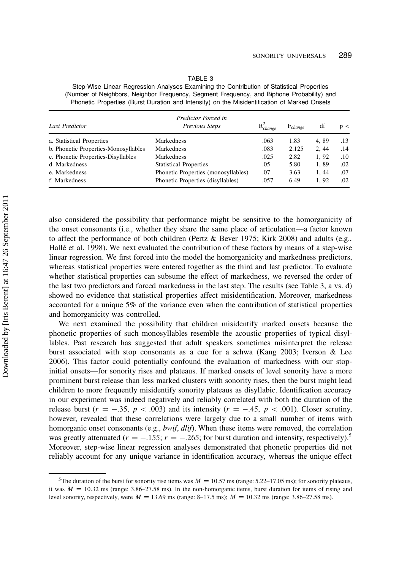| Last Predictor                       | Predictor Forced in<br>Previous Steps | $R_{change}^2$ | $F_{change}$ | df    | p <     |
|--------------------------------------|---------------------------------------|----------------|--------------|-------|---------|
| a. Statistical Properties            | <b>Markedness</b>                     | .063           | 1.83         | 4.89  | $.13\,$ |
| b. Phonetic Properties-Monosyllables | Markedness                            | .083           | 2.125        | 2.44  | .14     |
| c. Phonetic Properties-Disyllables   | Markedness                            | .025           | 2.82         | 1, 92 | .10     |
| d. Markedness                        | <b>Statistical Properties</b>         | .05            | 5.80         | 1.89  | .02     |
| e. Markedness                        | Phonetic Properties (monosyllables)   | .07            | 3.63         | 1.44  | .07     |
| f. Markedness                        | Phonetic Properties (disyllables)     | .057           | 6.49         | 1, 92 | $.02\,$ |
|                                      |                                       |                |              |       |         |

| Step-Wise Linear Regression Analyses Examining the Contribution of Statistical Properties    |
|----------------------------------------------------------------------------------------------|
| (Number of Neighbors, Neighbor Frequency, Segment Frequency, and Biphone Probability) and    |
| Phonetic Properties (Burst Duration and Intensity) on the Misidentification of Marked Onsets |

TABLE 3

also considered the possibility that performance might be sensitive to the homorganicity of the onset consonants (i.e., whether they share the same place of articulation—a factor known to affect the performance of both children (Pertz & Bever 1975; Kirk 2008) and adults (e.g., Hallé et al. 1998). We next evaluated the contribution of these factors by means of a step-wise linear regression. We first forced into the model the homorganicity and markedness predictors, whereas statistical properties were entered together as the third and last predictor. To evaluate whether statistical properties can subsume the effect of markedness, we reversed the order of the last two predictors and forced markedness in the last step. The results (see Table 3, a vs. d) showed no evidence that statistical properties affect misidentification. Moreover, markedness accounted for a unique 5% of the variance even when the contribution of statistical properties and homorganicity was controlled.

We next examined the possibility that children misidentify marked onsets because the phonetic properties of such monosyllables resemble the acoustic properties of typical disyllables. Past research has suggested that adult speakers sometimes misinterpret the release burst associated with stop consonants as a cue for a schwa (Kang 2003; Iverson & Lee 2006). This factor could potentially confound the evaluation of markedness with our stopinitial onsets—for sonority rises and plateaus. If marked onsets of level sonority have a more prominent burst release than less marked clusters with sonority rises, then the burst might lead children to more frequently misidentify sonority plateaus as disyllabic. Identification accuracy in our experiment was indeed negatively and reliably correlated with both the duration of the release burst ( $r = -.35$ ,  $p < .003$ ) and its intensity ( $r = -.45$ ,  $p < .001$ ). Closer scrutiny, however, revealed that these correlations were largely due to a small number of items with homorganic onset consonants (e.g., bwif, dlif). When these items were removed, the correlation was greatly attenuated ( $r = -.155$ ;  $r = -.265$ ; for burst duration and intensity, respectively).<sup>5</sup> Moreover, step-wise linear regression analyses demonstrated that phonetic properties did not reliably account for any unique variance in identification accuracy, whereas the unique effect

<sup>&</sup>lt;sup>5</sup>The duration of the burst for sonority rise items was  $M = 10.57$  ms (range: 5.22–17.05 ms); for sonority plateaus, it was  $M = 10.32$  ms (range: 3.86–27.58 ms). In the non-homorganic items, burst duration for items of rising and level sonority, respectively, were  $M = 13.69$  ms (range: 8–17.5 ms);  $M = 10.32$  ms (range: 3.86–27.58 ms).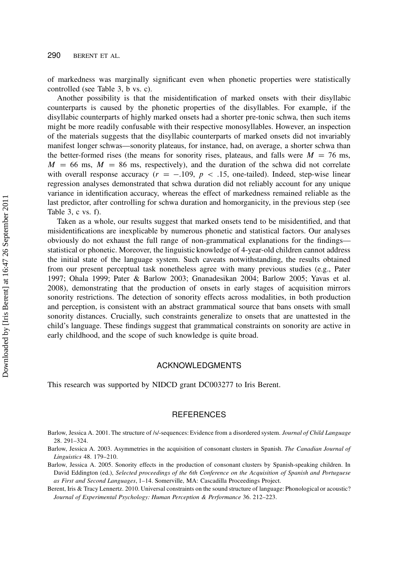of markedness was marginally significant even when phonetic properties were statistically controlled (see Table 3, b vs. c).

Another possibility is that the misidentification of marked onsets with their disyllabic counterparts is caused by the phonetic properties of the disyllables. For example, if the disyllabic counterparts of highly marked onsets had a shorter pre-tonic schwa, then such items might be more readily confusable with their respective monosyllables. However, an inspection of the materials suggests that the disyllabic counterparts of marked onsets did not invariably manifest longer schwas—sonority plateaus, for instance, had, on average, a shorter schwa than the better-formed rises (the means for sonority rises, plateaus, and falls were  $M = 76$  ms,  $M = 66$  ms,  $M = 86$  ms, respectively), and the duration of the schwa did not correlate with overall response accuracy ( $r = -.109$ ,  $p < .15$ , one-tailed). Indeed, step-wise linear regression analyses demonstrated that schwa duration did not reliably account for any unique variance in identification accuracy, whereas the effect of markedness remained reliable as the last predictor, after controlling for schwa duration and homorganicity, in the previous step (see Table 3, c vs. f).

Taken as a whole, our results suggest that marked onsets tend to be misidentified, and that misidentifications are inexplicable by numerous phonetic and statistical factors. Our analyses obviously do not exhaust the full range of non-grammatical explanations for the findings statistical or phonetic. Moreover, the linguistic knowledge of 4-year-old children cannot address the initial state of the language system. Such caveats notwithstanding, the results obtained from our present perceptual task nonetheless agree with many previous studies (e.g., Pater 1997; Ohala 1999; Pater & Barlow 2003; Gnanadesikan 2004; Barlow 2005; Yavas et al. 2008), demonstrating that the production of onsets in early stages of acquisition mirrors sonority restrictions. The detection of sonority effects across modalities, in both production and perception, is consistent with an abstract grammatical source that bans onsets with small sonority distances. Crucially, such constraints generalize to onsets that are unattested in the child's language. These findings suggest that grammatical constraints on sonority are active in early childhood, and the scope of such knowledge is quite broad.

# ACKNOWLEDGMENTS

This research was supported by NIDCD grant DC003277 to Iris Berent.

## **REFERENCES**

- Barlow, Jessica A. 2001. The structure of /s/-sequences: Evidence from a disordered system. Journal of Child Language 28. 291–324.
- Barlow, Jessica A. 2003. Asymmetries in the acquisition of consonant clusters in Spanish. The Canadian Journal of Linguistics 48. 179–210.

Barlow, Jessica A. 2005. Sonority effects in the production of consonant clusters by Spanish-speaking children. In David Eddington (ed.), Selected proceedings of the 6th Conference on the Acquisition of Spanish and Portuguese as First and Second Languages, 1–14. Somerville, MA: Cascadilla Proceedings Project.

Berent, Iris & Tracy Lennertz. 2010. Universal constraints on the sound structure of language: Phonological or acoustic? Journal of Experimental Psychology: Human Perception & Performance 36. 212–223.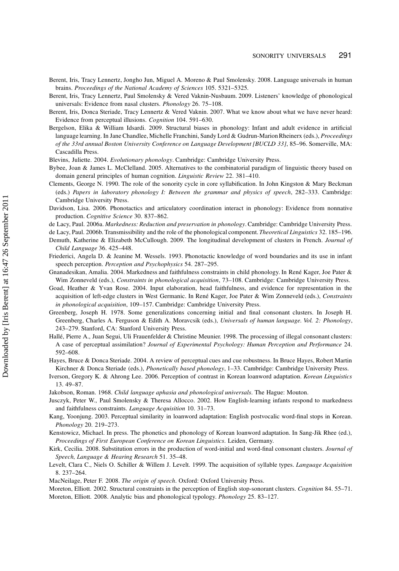- Berent, Iris, Tracy Lennertz, Jongho Jun, Miguel A. Moreno & Paul Smolensky. 2008. Language universals in human brains. Proceedings of the National Academy of Sciences 105. 5321–5325.
- Berent, Iris, Tracy Lennertz, Paul Smolensky & Vered Vaknin-Nusbaum. 2009. Listeners' knowledge of phonological universals: Evidence from nasal clusters. Phonology 26. 75–108.
- Berent, Iris, Donca Steriade, Tracy Lennertz & Vered Vaknin. 2007. What we know about what we have never heard: Evidence from perceptual illusions. Cognition 104. 591–630.
- Bergelson, Elika & William Idsardi. 2009. Structural biases in phonology: Infant and adult evidence in artificial language learning. In Jane Chandlee, Michelle Franchini, Sandy Lord & Gudrun-Marion Rheinerx (eds.), Proceedings of the 33rd annual Boston University Conference on Language Development [BUCLD 33], 85–96. Somerville, MA: Cascadilla Press.
- Blevins, Juliette. 2004. Evolutionary phonology. Cambridge: Cambridge University Press.
- Bybee, Joan & James L. McClelland. 2005. Alternatives to the combinatorial paradigm of linguistic theory based on domain general principles of human cognition. Linguistic Review 22. 381–410.
- Clements, George N. 1990. The role of the sonority cycle in core syllabification. In John Kingston & Mary Beckman (eds.) Papers in laboratory phonology I: Between the grammar and physics of speech, 282–333. Cambridge: Cambridge University Press.
- Davidson, Lisa. 2006. Phonotactics and articulatory coordination interact in phonology: Evidence from nonnative production. Cognitive Science 30. 837–862.
- de Lacy, Paul. 2006a. Markedness: Reduction and preservation in phonology. Cambridge: Cambridge University Press.
- de Lacy, Paul. 2006b. Transmissibility and the role of the phonological component. Theoretical Linguistics 32. 185–196.
- Demuth, Katherine & Elizabeth McCullough. 2009. The longitudinal development of clusters in French. Journal of Child Language 36. 425–448.
- Friederici, Angela D. & Jeanine M. Wessels. 1993. Phonotactic knowledge of word boundaries and its use in infant speech perception. Perception and Psychophysics 54. 287–295.
- Gnanadesikan, Amalia. 2004. Markedness and faithfulness constraints in child phonology. In René Kager, Joe Pater & Wim Zonneveld (eds.), Constraints in phonological acquisition, 73-108. Cambridge: Cambridge University Press.
- Goad, Heather & Yvan Rose. 2004. Input elaboration, head faithfulness, and evidence for representation in the acquisition of left-edge clusters in West Germanic. In René Kager, Joe Pater & Wim Zonneveld (eds.), Constraints in phonological acquisition, 109–157. Cambridge: Cambridge University Press.
- Greenberg, Joseph H. 1978. Some generalizations concerning initial and final consonant clusters. In Joseph H. Greenberg, Charles A. Ferguson & Edith A. Moravcsik (eds.), Universals of human language. Vol. 2: Phonology, 243–279. Stanford, CA: Stanford University Press.
- Hallé, Pierre A., Juan Segui, Uli Frauenfelder & Christine Meunier. 1998. The processing of illegal consonant clusters: A case of perceptual assimilation? Journal of Experimental Psychology: Human Perception and Performance 24. 592–608.
- Hayes, Bruce & Donca Steriade. 2004. A review of perceptual cues and cue robustness. In Bruce Hayes, Robert Martin Kirchner & Donca Steriade (eds.), Phonetically based phonology, 1–33. Cambridge: Cambridge University Press.
- Iverson, Gregory K. & Ahrong Lee. 2006. Perception of contrast in Korean loanword adaptation. Korean Linguistics 13. 49–87.
- Jakobson, Roman. 1968. Child language aphasia and phonological universals. The Hague: Mouton.
- Jusczyk, Peter W., Paul Smolensky & Theresa Allocco. 2002. How English-learning infants respond to markedness and faithfulness constraints. Language Acquisition 10. 31–73.
- Kang, Yoonjung. 2003. Perceptual similarity in loanword adaptation: English postvocalic word-final stops in Korean. Phonology 20. 219–273.
- Kenstowicz, Michael. In press. The phonetics and phonology of Korean loanword adaptation. In Sang-Jik Rhee (ed.), Proceedings of First European Conference on Korean Linguistics. Leiden, Germany.
- Kirk, Cecilia. 2008. Substitution errors in the production of word-initial and word-final consonant clusters. Journal of Speech, Language & Hearing Research 51. 35–48.
- Levelt, Clara C., Niels O. Schiller & Willem J. Levelt. 1999. The acquisition of syllable types. Language Acquisition 8. 237–264.
- MacNeilage, Peter F. 2008. The origin of speech. Oxford: Oxford University Press.
- Moreton, Elliott. 2002. Structural constraints in the perception of English stop-sonorant clusters. Cognition 84. 55–71. Moreton, Elliott. 2008. Analytic bias and phonological typology. Phonology 25. 83–127.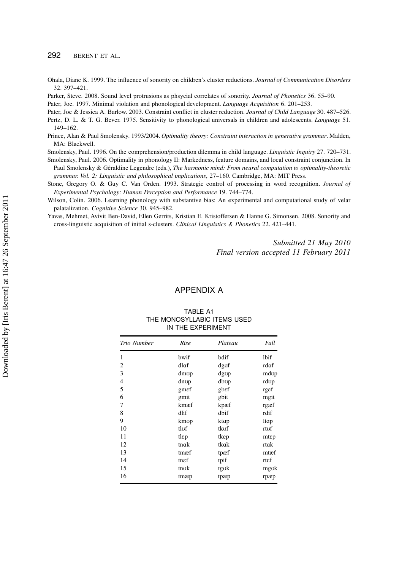### 292 BERENT ET AL.

Ohala, Diane K. 1999. The influence of sonority on children's cluster reductions. Journal of Communication Disorders 32. 397–421.

Parker, Steve. 2008. Sound level protrusions as phsycial correlates of sonority. Journal of Phonetics 36. 55–90. Pater, Joe. 1997. Minimal violation and phonological development. Language Acquisition 6. 201–253.

Pater, Joe & Jessica A. Barlow. 2003. Constraint conflict in cluster reduction. Journal of Child Language 30. 487–526.

Pertz, D. L. & T. G. Bever. 1975. Sensitivity to phonological universals in children and adolescents. Language 51. 149–162.

Prince, Alan & Paul Smolensky. 1993/2004. Optimality theory: Constraint interaction in generative grammar. Malden, MA: Blackwell.

Smolensky, Paul. 1996. On the comprehension/production dilemma in child language. Linguistic Inquiry 27. 720–731.

- Smolensky, Paul. 2006. Optimality in phonology II: Markedness, feature domains, and local constraint conjunction. In Paul Smolensky & Géraldine Legendre (eds.), The harmonic mind: From neural computation to optimality-theoretic grammar. Vol. 2: Linguistic and philosophical implications, 27–160. Cambridge, MA: MIT Press.
- Stone, Gregory O. & Guy C. Van Orden. 1993. Strategic control of processing in word recognition. Journal of Experimental Psychology: Human Perception and Performance 19. 744–774.
- Wilson, Colin. 2006. Learning phonology with substantive bias: An experimental and computational study of velar palatalization. Cognitive Science 30. 945–982.
- Yavas, Mehmet, Avivit Ben-David, Ellen Gerrits, Kristian E. Kristoffersen & Hanne G. Simonsen. 2008. Sonority and cross-linguistic acquisition of initial s-clusters. Clinical Linguistics & Phonetics 22. 421–441.

Submitted 21 May 2010 Final version accepted 11 February 2011

# APPENDIX A

#### TABLE A1 THE MONOSYLLABIC ITEMS USED IN THE EXPERIMENT

| Trio Number    | Rise | Plateau | Fall |  |
|----------------|------|---------|------|--|
| 1              | bwif | bdif    | lbif |  |
| 2              | dlaf | dgaf    | rdaf |  |
| 3              | dmop | dgop    | mdop |  |
| $\overline{4}$ | dnop | dbup    | rdop |  |
| 5              | gmef | gbef    | rgef |  |
| 6              | gmit | gbit    | mgit |  |
| 7              | kmæf | kpæf    | rgæf |  |
| 8              | dlif | dbif    | rdif |  |
| 9              | kmop | ktap    | ltap |  |
| 10             | tlof | tkuf    | rtof |  |
| 11             | tlep | tkεp    | mtep |  |
| 12             | tnak | tkak    | rtak |  |
| 13             | tmæf | tpæf    | mtæf |  |
| 14             | tnef | tpif    | rtef |  |
| 15             | tnok | tgok    | mguk |  |
| 16             | tmæp | tpæp    | rpæp |  |